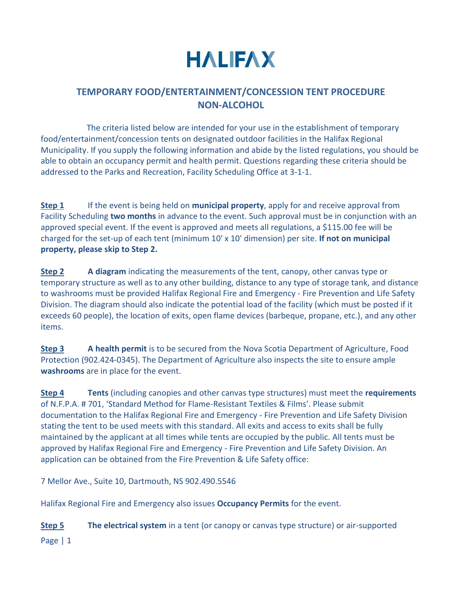## **HALIFAX**

## **TEMPORARY FOOD/ENTERTAINMENT/CONCESSION TENT PROCEDURE NON-ALCOHOL**

 The criteria listed below are intended for your use in the establishment of temporary food/entertainment/concession tents on designated outdoor facilities in the Halifax Regional Municipality. If you supply the following information and abide by the listed regulations, you should be able to obtain an occupancy permit and health permit. Questions regarding these criteria should be addressed to the Parks and Recreation, Facility Scheduling Office at 3-1-1.

**Step 1** If the event is being held on **municipal property**, apply for and receive approval from Facility Scheduling **two months** in advance to the event. Such approval must be in conjunction with an approved special event. If the event is approved and meets all regulations, a \$115.00 fee will be charged for the set-up of each tent (minimum 10' x 10' dimension) per site. **If not on municipal property, please skip to Step 2.**

**Step 2 A diagram** indicating the measurements of the tent, canopy, other canvas type or temporary structure as well as to any other building, distance to any type of storage tank, and distance to washrooms must be provided Halifax Regional Fire and Emergency - Fire Prevention and Life Safety Division. The diagram should also indicate the potential load of the facility (which must be posted if it exceeds 60 people), the location of exits, open flame devices (barbeque, propane, etc.), and any other items.

**Step 3 A health permit** is to be secured from the Nova Scotia Department of Agriculture, Food Protection (902.424-0345). The Department of Agriculture also inspects the site to ensure ample **washrooms** are in place for the event.

**Step 4 Tents** (including canopies and other canvas type structures) must meet the **requirements**  of N.F.P.A. # 701, 'Standard Method for Flame-Resistant Textiles & Films'. Please submit documentation to the Halifax Regional Fire and Emergency - Fire Prevention and Life Safety Division stating the tent to be used meets with this standard. All exits and access to exits shall be fully maintained by the applicant at all times while tents are occupied by the public. All tents must be approved by Halifax Regional Fire and Emergency - Fire Prevention and Life Safety Division. An application can be obtained from the Fire Prevention & Life Safety office:

7 Mellor Ave., Suite 10, Dartmouth, NS 902.490.5546

Halifax Regional Fire and Emergency also issues **Occupancy Permits** for the event.

**Step 5 The electrical system** in a tent (or canopy or canvas type structure) or air-supported

Page | 1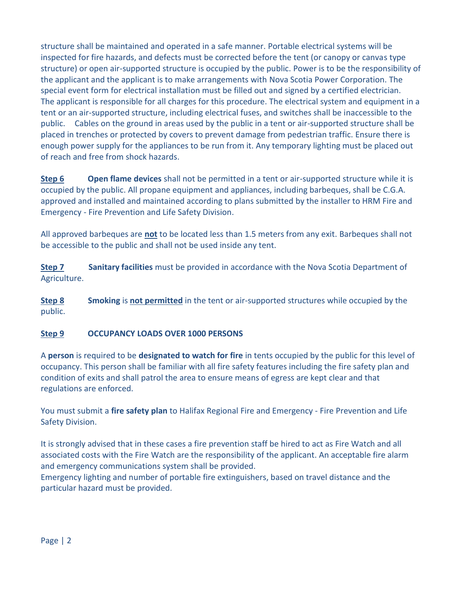structure shall be maintained and operated in a safe manner. Portable electrical systems will be inspected for fire hazards, and defects must be corrected before the tent (or canopy or canvas type structure) or open air-supported structure is occupied by the public. Power is to be the responsibility of the applicant and the applicant is to make arrangements with Nova Scotia Power Corporation. The special event form for electrical installation must be filled out and signed by a certified electrician. The applicant is responsible for all charges for this procedure. The electrical system and equipment in a tent or an air-supported structure, including electrical fuses, and switches shall be inaccessible to the public. Cables on the ground in areas used by the public in a tent or air-supported structure shall be placed in trenches or protected by covers to prevent damage from pedestrian traffic. Ensure there is enough power supply for the appliances to be run from it. Any temporary lighting must be placed out of reach and free from shock hazards.

**Step 6 Open flame devices** shall not be permitted in a tent or air-supported structure while it is occupied by the public. All propane equipment and appliances, including barbeques, shall be C.G.A. approved and installed and maintained according to plans submitted by the installer to HRM Fire and Emergency - Fire Prevention and Life Safety Division.

All approved barbeques are **not** to be located less than 1.5 meters from any exit. Barbeques shall not be accessible to the public and shall not be used inside any tent.

**Step 7** Sanitary facilities must be provided in accordance with the Nova Scotia Department of Agriculture.

**Step 8 Smoking** is **not permitted** in the tent or air-supported structures while occupied by the public.

## **Step 9 OCCUPANCY LOADS OVER 1000 PERSONS**

A **person** is required to be **designated to watch for fire** in tents occupied by the public for this level of occupancy. This person shall be familiar with all fire safety features including the fire safety plan and condition of exits and shall patrol the area to ensure means of egress are kept clear and that regulations are enforced.

You must submit a **fire safety plan** to Halifax Regional Fire and Emergency - Fire Prevention and Life Safety Division.

It is strongly advised that in these cases a fire prevention staff be hired to act as Fire Watch and all associated costs with the Fire Watch are the responsibility of the applicant. An acceptable fire alarm and emergency communications system shall be provided.

Emergency lighting and number of portable fire extinguishers, based on travel distance and the particular hazard must be provided.